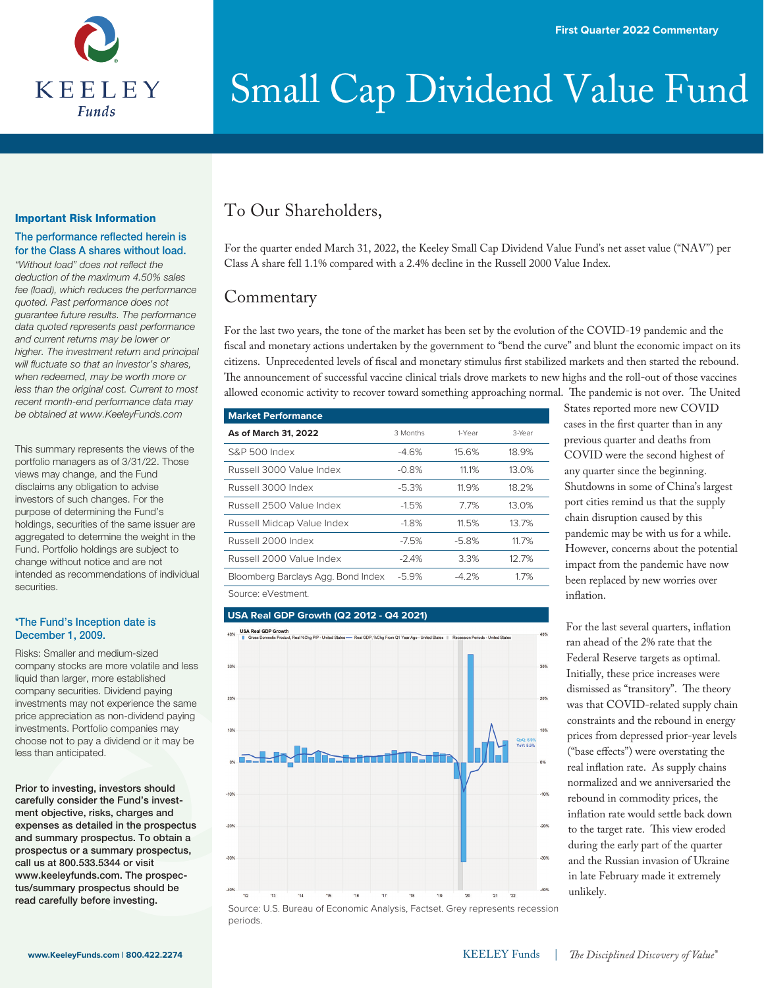

#### Important Risk Information

#### The performance reflected herein is for the Class A shares without load.

"Without load" does not reflect the *deduction of the maximum 4.50% sales fee (load), which reduces the performance quoted. Past performance does not guarantee future results. The performance data quoted represents past performance and current returns may be lower or higher. The investment return and principal will fluctuate so that an investor's shares, when redeemed, may be worth more or less than the original cost. Current to most recent month-end performance data may be obtained at www.KeeleyFunds.com*

This summary represents the views of the portfolio managers as of 3/31/22. Those views may change, and the Fund disclaims any obligation to advise investors of such changes. For the purpose of determining the Fund's holdings, securities of the same issuer are aggregated to determine the weight in the Fund. Portfolio holdings are subject to change without notice and are not intended as recommendations of individual securities.

#### \*The Fund's Inception date is December 1, 2009.

Risks: Smaller and medium-sized company stocks are more volatile and less liquid than larger, more established company securities. Dividend paying investments may not experience the same price appreciation as non-dividend paying investments. Portfolio companies may choose not to pay a dividend or it may be less than anticipated.

Prior to investing, investors should carefully consider the Fund's investment objective, risks, charges and expenses as detailed in the prospectus and summary prospectus. To obtain a prospectus or a summary prospectus, call us at 800.533.5344 or visit www.keeleyfunds.com. The prospectus/summary prospectus should be read carefully before investing.

### To Our Shareholders,

For the quarter ended March 31, 2022, the Keeley Small Cap Dividend Value Fund's net asset value ("NAV") per Class A share fell 1.1% compared with a 2.4% decline in the Russell 2000 Value Index.

### **Commentary**

For the last two years, the tone of the market has been set by the evolution of the COVID-19 pandemic and the fiscal and monetary actions undertaken by the government to "bend the curve" and blunt the economic impact on its citizens. Unprecedented levels of fiscal and monetary stimulus first stabilized markets and then started the rebound. The announcement of successful vaccine clinical trials drove markets to new highs and the roll-out of those vaccines allowed economic activity to recover toward something approaching normal. The pandemic is not over. The United

| <b>Market Performance</b>          |          |         |        |
|------------------------------------|----------|---------|--------|
| As of March 31, 2022               | 3 Months | 1-Year  | 3-Year |
| S&P 500 Index                      | $-4.6%$  | 15.6%   | 18.9%  |
| Russell 3000 Value Index           | $-0.8%$  | 11.1%   | 13.0%  |
| Russell 3000 Index                 | $-5.3%$  | 11.9%   | 18.2%  |
| Russell 2500 Value Index           | $-1.5%$  | 7.7%    | 13.0%  |
| Russell Midcap Value Index         | $-1.8%$  | 11.5%   | 13.7%  |
| Russell 2000 Index                 | $-7.5%$  | $-5.8%$ | 11.7%  |
| Russell 2000 Value Index           | $-2.4%$  | 3.3%    | 12.7%  |
| Bloomberg Barclays Agg. Bond Index | $-5.9%$  | $-4.2%$ | 1.7%   |
| Source: eVestment.                 |          |         |        |

#### **USA Real GDP Growth (Q2 2012 - Q4 2021)**



Source: U.S. Bureau of Economic Analysis, Factset. Grey represents recession periods.

States reported more new COVID cases in the first quarter than in any previous quarter and deaths from COVID were the second highest of any quarter since the beginning. Shutdowns in some of China's largest port cities remind us that the supply chain disruption caused by this pandemic may be with us for a while. However, concerns about the potential impact from the pandemic have now been replaced by new worries over inflation.

For the last several quarters, inflation ran ahead of the 2% rate that the Federal Reserve targets as optimal. Initially, these price increases were dismissed as "transitory". The theory was that COVID-related supply chain constraints and the rebound in energy prices from depressed prior-year levels ("base effects") were overstating the real inflation rate. As supply chains normalized and we anniversaried the rebound in commodity prices, the inflation rate would settle back down to the target rate. This view eroded during the early part of the quarter and the Russian invasion of Ukraine in late February made it extremely unlikely.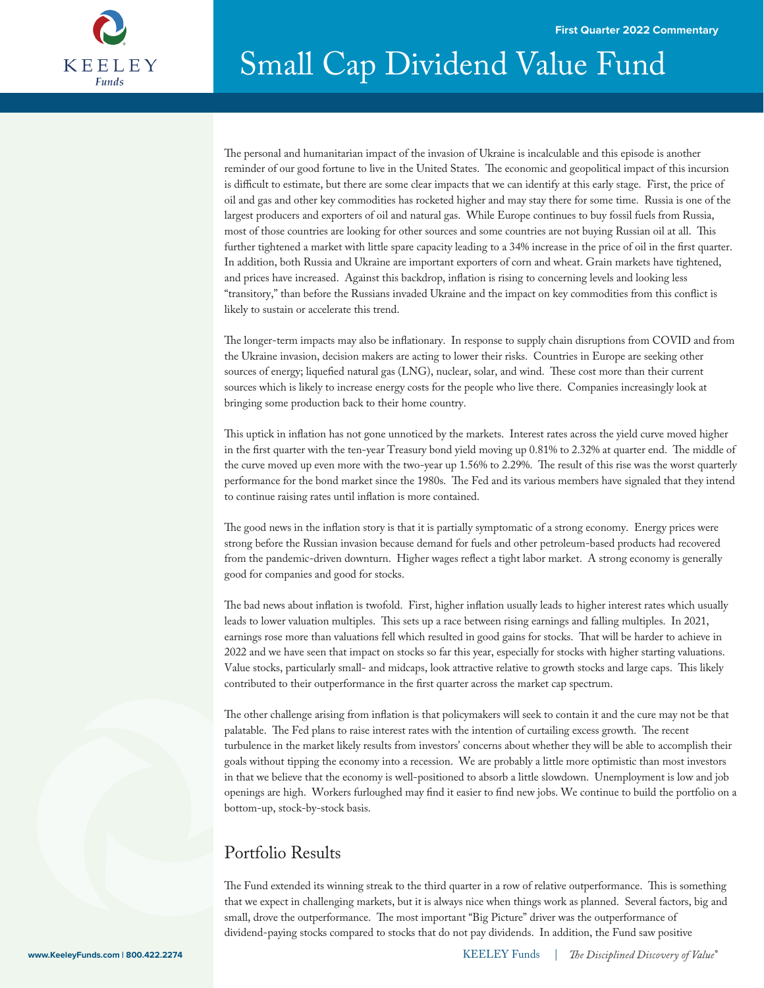

The personal and humanitarian impact of the invasion of Ukraine is incalculable and this episode is another reminder of our good fortune to live in the United States. The economic and geopolitical impact of this incursion is difficult to estimate, but there are some clear impacts that we can identify at this early stage. First, the price of oil and gas and other key commodities has rocketed higher and may stay there for some time. Russia is one of the largest producers and exporters of oil and natural gas. While Europe continues to buy fossil fuels from Russia, most of those countries are looking for other sources and some countries are not buying Russian oil at all. This further tightened a market with little spare capacity leading to a 34% increase in the price of oil in the first quarter. In addition, both Russia and Ukraine are important exporters of corn and wheat. Grain markets have tightened, and prices have increased. Against this backdrop, inflation is rising to concerning levels and looking less "transitory," than before the Russians invaded Ukraine and the impact on key commodities from this conflict is likely to sustain or accelerate this trend.

The longer-term impacts may also be inflationary. In response to supply chain disruptions from COVID and from the Ukraine invasion, decision makers are acting to lower their risks. Countries in Europe are seeking other sources of energy; liquefied natural gas (LNG), nuclear, solar, and wind. These cost more than their current sources which is likely to increase energy costs for the people who live there. Companies increasingly look at bringing some production back to their home country.

This uptick in inflation has not gone unnoticed by the markets. Interest rates across the yield curve moved higher in the first quarter with the ten-year Treasury bond yield moving up 0.81% to 2.32% at quarter end. The middle of the curve moved up even more with the two-year up 1.56% to 2.29%. The result of this rise was the worst quarterly performance for the bond market since the 1980s. The Fed and its various members have signaled that they intend to continue raising rates until inflation is more contained.

The good news in the inflation story is that it is partially symptomatic of a strong economy. Energy prices were strong before the Russian invasion because demand for fuels and other petroleum-based products had recovered from the pandemic-driven downturn. Higher wages reflect a tight labor market. A strong economy is generally good for companies and good for stocks.

The bad news about inflation is twofold. First, higher inflation usually leads to higher interest rates which usually leads to lower valuation multiples. This sets up a race between rising earnings and falling multiples. In 2021, earnings rose more than valuations fell which resulted in good gains for stocks. That will be harder to achieve in 2022 and we have seen that impact on stocks so far this year, especially for stocks with higher starting valuations. Value stocks, particularly small- and midcaps, look attractive relative to growth stocks and large caps. This likely contributed to their outperformance in the first quarter across the market cap spectrum.

The other challenge arising from inflation is that policymakers will seek to contain it and the cure may not be that palatable. The Fed plans to raise interest rates with the intention of curtailing excess growth. The recent turbulence in the market likely results from investors' concerns about whether they will be able to accomplish their goals without tipping the economy into a recession. We are probably a little more optimistic than most investors in that we believe that the economy is well-positioned to absorb a little slowdown. Unemployment is low and job openings are high. Workers furloughed may find it easier to find new jobs. We continue to build the portfolio on a bottom-up, stock-by-stock basis.

### Portfolio Results

The Fund extended its winning streak to the third quarter in a row of relative outperformance. This is something that we expect in challenging markets, but it is always nice when things work as planned. Several factors, big and small, drove the outperformance. The most important "Big Picture" driver was the outperformance of dividend-paying stocks compared to stocks that do not pay dividends. In addition, the Fund saw positive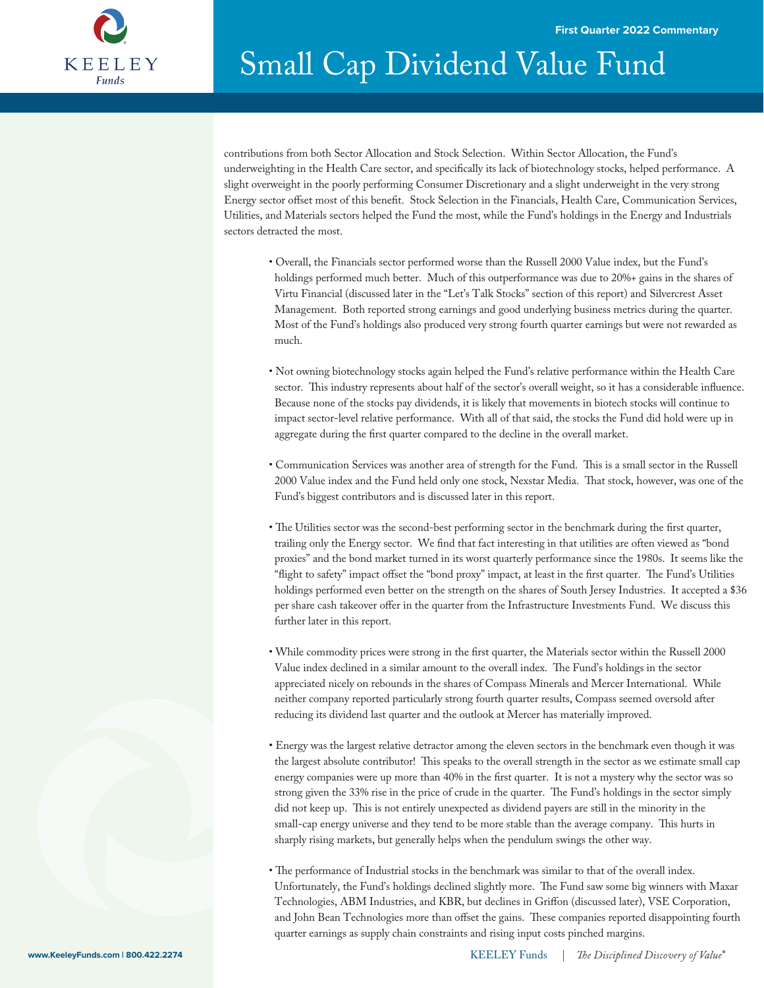

contributions from both Sector Allocation and Stock Selection. Within Sector Allocation, the Fund's underweighting in the Health Care sector, and specifically its lack of biotechnology stocks, helped performance. A slight overweight in the poorly performing Consumer Discretionary and a slight underweight in the very strong Energy sector offset most of this benefit. Stock Selection in the Financials, Health Care, Communication Services, Utilities, and Materials sectors helped the Fund the most, while the Fund's holdings in the Energy and Industrials sectors detracted the most.

- Overall, the Financials sector performed worse than the Russell 2000 Value index, but the Fund's holdings performed much better. Much of this outperformance was due to 20%+ gains in the shares of Virtu Financial (discussed later in the "Let's Talk Stocks" section of this report) and Silvercrest Asset Management. Both reported strong earnings and good underlying business metrics during the quarter. Most of the Fund's holdings also produced very strong fourth quarter earnings but were not rewarded as much.
- Not owning biotechnology stocks again helped the Fund's relative performance within the Health Care sector. This industry represents about half of the sector's overall weight, so it has a considerable influence. Because none of the stocks pay dividends, it is likely that movements in biotech stocks will continue to impact sector-level relative performance. With all of that said, the stocks the Fund did hold were up in aggregate during the first quarter compared to the decline in the overall market.
- Communication Services was another area of strength for the Fund. This is a small sector in the Russell 2000 Value index and the Fund held only one stock, Nexstar Media. That stock, however, was one of the Fund's biggest contributors and is discussed later in this report.
- The Utilities sector was the second-best performing sector in the benchmark during the first quarter, trailing only the Energy sector. We find that fact interesting in that utilities are often viewed as "bond proxies" and the bond market turned in its worst quarterly performance since the 1980s. It seems like the "flight to safety" impact offset the "bond proxy" impact, at least in the first quarter. The Fund's Utilities holdings performed even better on the strength on the shares of South Jersey Industries. It accepted a \$36 per share cash takeover offer in the quarter from the Infrastructure Investments Fund. We discuss this further later in this report.
- While commodity prices were strong in the first quarter, the Materials sector within the Russell 2000 Value index declined in a similar amount to the overall index. The Fund's holdings in the sector appreciated nicely on rebounds in the shares of Compass Minerals and Mercer International. While neither company reported particularly strong fourth quarter results, Compass seemed oversold after reducing its dividend last quarter and the outlook at Mercer has materially improved.
- Energy was the largest relative detractor among the eleven sectors in the benchmark even though it was the largest absolute contributor! This speaks to the overall strength in the sector as we estimate small cap energy companies were up more than 40% in the first quarter. It is not a mystery why the sector was so strong given the 33% rise in the price of crude in the quarter. The Fund's holdings in the sector simply did not keep up. This is not entirely unexpected as dividend payers are still in the minority in the small-cap energy universe and they tend to be more stable than the average company. This hurts in sharply rising markets, but generally helps when the pendulum swings the other way.
- The performance of Industrial stocks in the benchmark was similar to that of the overall index. Unfortunately, the Fund's holdings declined slightly more. The Fund saw some big winners with Maxar Technologies, ABM Industries, and KBR, but declines in Griffon (discussed later), VSE Corporation, and John Bean Technologies more than offset the gains. These companies reported disappointing fourth quarter earnings as supply chain constraints and rising input costs pinched margins.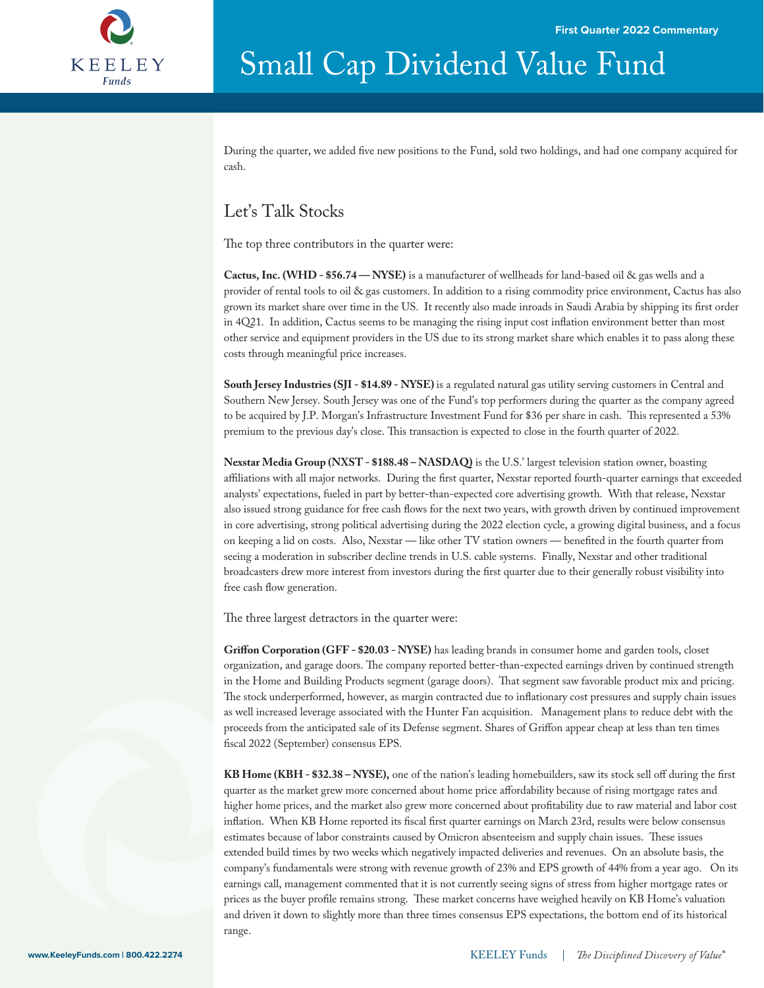

During the quarter, we added five new positions to the Fund, sold two holdings, and had one company acquired for cash.

### Let's Talk Stocks

The top three contributors in the quarter were:

**Cactus, Inc. (WHD - \$56.74 — NYSE)** is a manufacturer of wellheads for land-based oil & gas wells and a provider of rental tools to oil & gas customers. In addition to a rising commodity price environment, Cactus has also grown its market share over time in the US. It recently also made inroads in Saudi Arabia by shipping its first order in 4Q21. In addition, Cactus seems to be managing the rising input cost inflation environment better than most other service and equipment providers in the US due to its strong market share which enables it to pass along these costs through meaningful price increases.

**South Jersey Industries (SJI - \$14.89 - NYSE)** is a regulated natural gas utility serving customers in Central and Southern New Jersey. South Jersey was one of the Fund's top performers during the quarter as the company agreed to be acquired by J.P. Morgan's Infrastructure Investment Fund for \$36 per share in cash. This represented a 53% premium to the previous day's close. This transaction is expected to close in the fourth quarter of 2022.

**Nexstar Media Group (NXST - \$188.48 – NASDAQ)** is the U.S.' largest television station owner, boasting affiliations with all major networks. During the first quarter, Nexstar reported fourth-quarter earnings that exceeded analysts' expectations, fueled in part by better-than-expected core advertising growth. With that release, Nexstar also issued strong guidance for free cash flows for the next two years, with growth driven by continued improvement in core advertising, strong political advertising during the 2022 election cycle, a growing digital business, and a focus on keeping a lid on costs. Also, Nexstar — like other TV station owners — benefited in the fourth quarter from seeing a moderation in subscriber decline trends in U.S. cable systems. Finally, Nexstar and other traditional broadcasters drew more interest from investors during the first quarter due to their generally robust visibility into free cash flow generation.

The three largest detractors in the quarter were:

Griffon Corporation (GFF - \$20.03 - NYSE) has leading brands in consumer home and garden tools, closet organization, and garage doors. The company reported better-than-expected earnings driven by continued strength in the Home and Building Products segment (garage doors). That segment saw favorable product mix and pricing. The stock underperformed, however, as margin contracted due to inflationary cost pressures and supply chain issues as well increased leverage associated with the Hunter Fan acquisition. Management plans to reduce debt with the proceeds from the anticipated sale of its Defense segment. Shares of Griffon appear cheap at less than ten times fiscal 2022 (September) consensus EPS.

KB Home (KBH - \$32.38 – NYSE), one of the nation's leading homebuilders, saw its stock sell off during the first quarter as the market grew more concerned about home price affordability because of rising mortgage rates and higher home prices, and the market also grew more concerned about profitability due to raw material and labor cost inflation. When KB Home reported its fiscal first quarter earnings on March 23rd, results were below consensus estimates because of labor constraints caused by Omicron absenteeism and supply chain issues. These issues extended build times by two weeks which negatively impacted deliveries and revenues. On an absolute basis, the company's fundamentals were strong with revenue growth of 23% and EPS growth of 44% from a year ago. On its earnings call, management commented that it is not currently seeing signs of stress from higher mortgage rates or prices as the buyer profile remains strong. These market concerns have weighed heavily on KB Home's valuation and driven it down to slightly more than three times consensus EPS expectations, the bottom end of its historical range.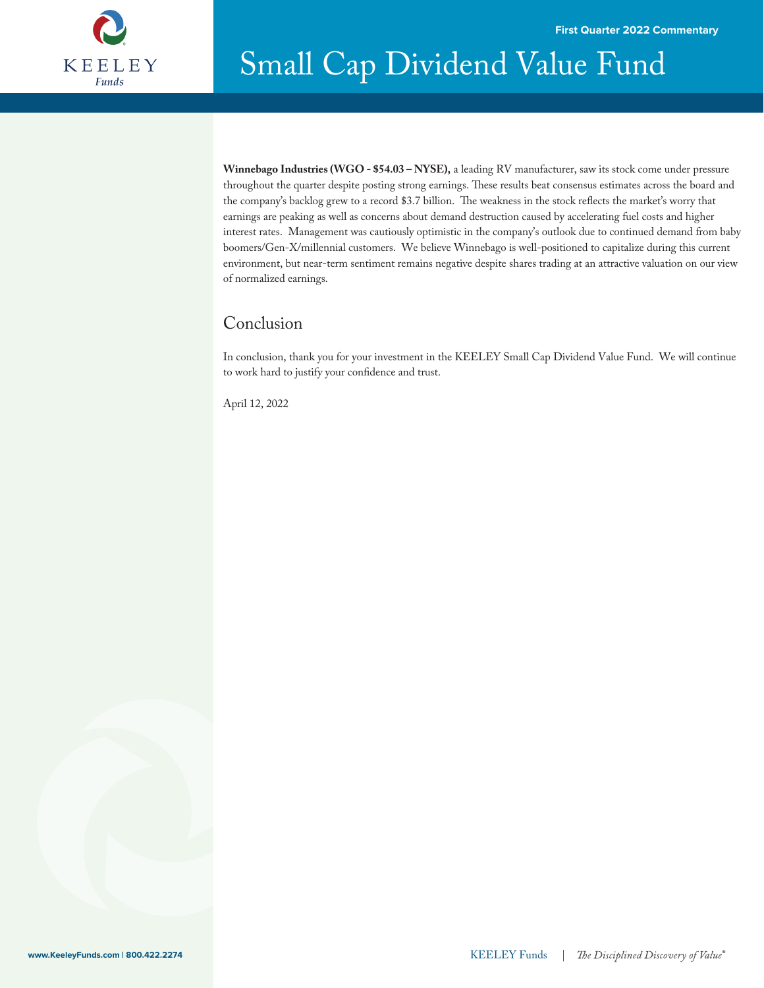

# Small Cap Dividend Value Fund Dividend Value Fund

**Winnebago Industries (WGO - \$54.03 – NYSE),** a leading RV manufacturer, saw its stock come under pressure throughout the quarter despite posting strong earnings. These results beat consensus estimates across the board and the company's backlog grew to a record \$3.7 billion. The weakness in the stock reflects the market's worry that earnings are peaking as well as concerns about demand destruction caused by accelerating fuel costs and higher interest rates. Management was cautiously optimistic in the company's outlook due to continued demand from baby boomers/Gen-X/millennial customers. We believe Winnebago is well-positioned to capitalize during this current environment, but near-term sentiment remains negative despite shares trading at an attractive valuation on our view of normalized earnings.

### Conclusion

In conclusion, thank you for your investment in the KEELEY Small Cap Dividend Value Fund. We will continue to work hard to justify your confidence and trust.

April 12, 2022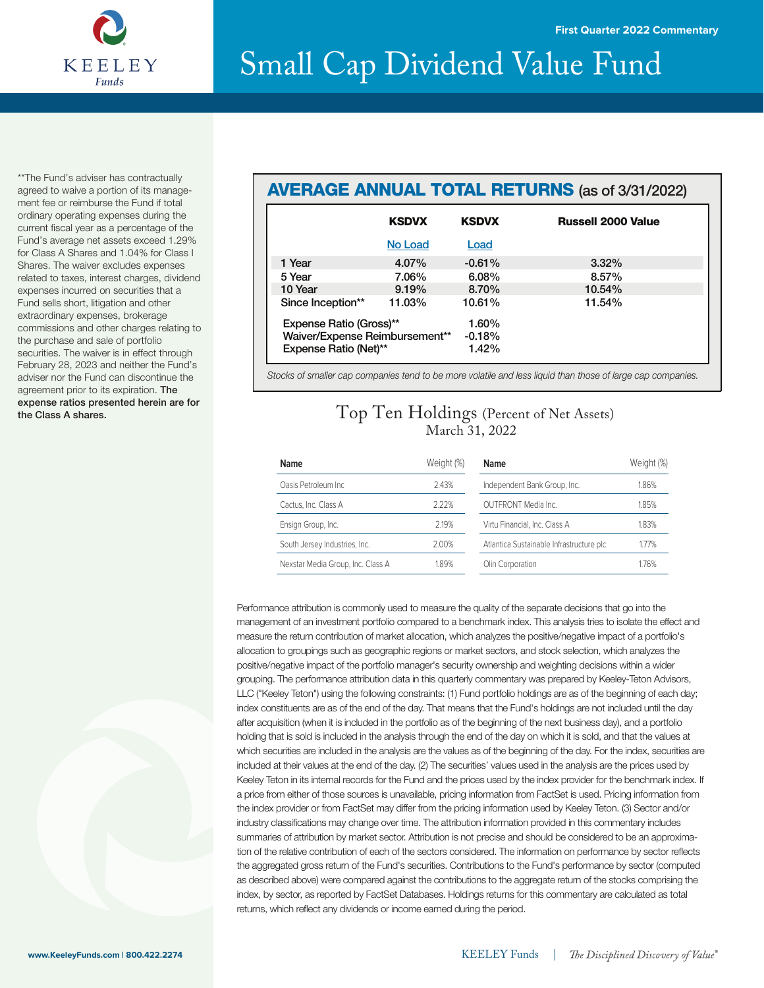

\*\*The Fund's adviser has contractually agreed to waive a portion of its management fee or reimburse the Fund if total ordinary operating expenses during the current fiscal year as a percentage of the Fund's average net assets exceed 1.29% for Class A Shares and 1.04% for Class I Shares. The waiver excludes expenses related to taxes, interest charges, dividend expenses incurred on securities that a Fund sells short, litigation and other extraordinary expenses, brokerage commissions and other charges relating to the purchase and sale of portfolio securities. The waiver is in effect through February 28, 2023 and neither the Fund's adviser nor the Fund can discontinue the agreement prior to its expiration. The expense ratios presented herein are for the Class A shares.

### AVERAGE ANNUAL TOTAL RETURNS (as of 3/31/2022)

|                                | <b>KSDVX</b> | <b>KSDVX</b> | <b>Russell 2000 Value</b> |
|--------------------------------|--------------|--------------|---------------------------|
|                                | No Load      | Load         |                           |
| 1 Year                         | 4.07%        | $-0.61%$     | $3.32\%$                  |
| 5 Year                         | 7.06%        | 6.08%        | 8.57%                     |
| 10 Year                        | 9.19%        | 8.70%        | 10.54%                    |
| Since Inception**              | 11.03%       | 10.61%       | 11.54%                    |
| Expense Ratio (Gross)**        |              | 1.60%        |                           |
| Waiver/Expense Reimbursement** |              | $-0.18%$     |                           |
| Expense Ratio (Net)**          |              | 1.42%        |                           |

*Stocks of smaller cap companies tend to be more volatile and less liquid than those of large cap companies.*

### Top Ten Holdings (Percent of Net Assets) March 31, 2022

| Name                              | Weight (%) | <b>Name</b>                              | Weight (%) |
|-----------------------------------|------------|------------------------------------------|------------|
| Oasis Petroleum Inc.              | 2.43%      | Independent Bank Group, Inc.             | 1.86%      |
| Cactus, Inc. Class A              | 2.22%      | OUTERONT Media Inc.                      | 1.85%      |
| Ensign Group, Inc.                | 2.19%      | Virtu Financial, Inc. Class A            | 1.83%      |
| South Jersey Industries, Inc.     | 2.00%      | Atlantica Sustainable Infrastructure plc | 1.77%      |
| Nexstar Media Group, Inc. Class A | 1.89%      | Olin Corporation                         | 1.76%      |

Performance attribution is commonly used to measure the quality of the separate decisions that go into the management of an investment portfolio compared to a benchmark index. This analysis tries to isolate the effect and measure the return contribution of market allocation, which analyzes the positive/negative impact of a portfolio's allocation to groupings such as geographic regions or market sectors, and stock selection, which analyzes the positive/negative impact of the portfolio manager's security ownership and weighting decisions within a wider grouping. The performance attribution data in this quarterly commentary was prepared by Keeley-Teton Advisors, LLC ("Keeley Teton") using the following constraints: (1) Fund portfolio holdings are as of the beginning of each day; index constituents are as of the end of the day. That means that the Fund's holdings are not included until the day after acquisition (when it is included in the portfolio as of the beginning of the next business day), and a portfolio holding that is sold is included in the analysis through the end of the day on which it is sold, and that the values at which securities are included in the analysis are the values as of the beginning of the day. For the index, securities are included at their values at the end of the day. (2) The securities' values used in the analysis are the prices used by Keeley Teton in its internal records for the Fund and the prices used by the index provider for the benchmark index. If a price from either of those sources is unavailable, pricing information from FactSet is used. Pricing information from the index provider or from FactSet may differ from the pricing information used by Keeley Teton. (3) Sector and/or industry classifications may change over time. The attribution information provided in this commentary includes summaries of attribution by market sector. Attribution is not precise and should be considered to be an approximation of the relative contribution of each of the sectors considered. The information on performance by sector reflects the aggregated gross return of the Fund's securities. Contributions to the Fund's performance by sector (computed as described above) were compared against the contributions to the aggregate return of the stocks comprising the index, by sector, as reported by FactSet Databases. Holdings returns for this commentary are calculated as total returns, which reflect any dividends or income earned during the period.